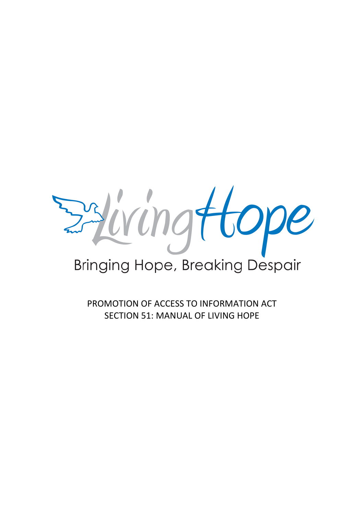stiringttope

# **Bringing Hope, Breaking Despair**

PROMOTION OF ACCESS TO INFORMATION ACT SECTION 51: MANUAL OF LIVING HOPE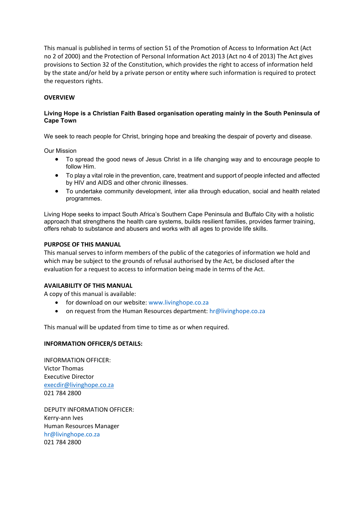This manual is published in terms of section 51 of the Promotion of Access to Information Act (Act no 2 of 2000) and the Protection of Personal Information Act 2013 (Act no 4 of 2013) The Act gives provisions to Section 32 of the Constitution, which provides the right to access of information held by the state and/or held by a private person or entity where such information is required to protect the requestors rights.

### **OVERVIEW**

## **Living Hope is a Christian Faith Based organisation operating mainly in the South Peninsula of Cape Town**

We seek to reach people for Christ, bringing hope and breaking the despair of poverty and disease.

Our Mission

- To spread the good news of Jesus Christ in a life changing way and to encourage people to follow Him.
- To play a vital role in the prevention, care, treatment and support of people infected and affected by HIV and AIDS and other chronic illnesses.
- To undertake community development, inter alia through education, social and health related programmes.

Living Hope seeks to impact South Africa's Southern Cape Peninsula and Buffalo City with a holistic approach that strengthens the health care systems, builds resilient families, provides farmer training, offers rehab to substance and abusers and works with all ages to provide life skills.

## **PURPOSE OF THIS MANUAL**

This manual serves to inform members of the public of the categories of information we hold and which may be subject to the grounds of refusal authorised by the Act, be disclosed after the evaluation for a request to access to information being made in terms of the Act.

### **AVAILABILITY OF THIS MANUAL**

A copy of this manual is available:

- for download on our website: [www.livinghope.co.za](http://www.livinghope.co.za/)
- on request from the Human Resources department[: hr@livinghope.co.za](mailto:hr@livinghope.co.za)

This manual will be updated from time to time as or when required.

### **INFORMATION OFFICER/S DETAILS:**

INFORMATION OFFICER: Victor Thomas Executive Director [execdir@livinghope.co.za](mailto:execdir@livinghope.co.za) 021 784 2800

DEPUTY INFORMATION OFFICER: Kerry-ann Ives Human Resources Manager [hr@livinghope.co.za](mailto:hr@livinghope.co.za) 021 784 2800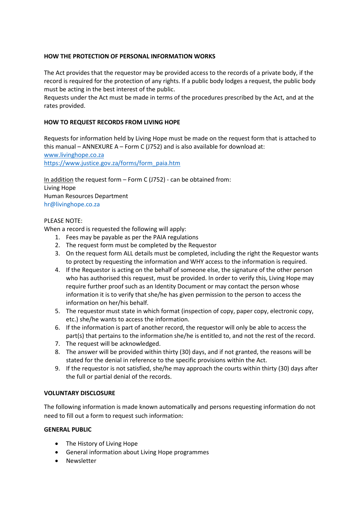## **HOW THE PROTECTION OF PERSONAL INFORMATION WORKS**

The Act provides that the requestor may be provided access to the records of a private body, if the record is required for the protection of any rights. If a public body lodges a request, the public body must be acting in the best interest of the public.

Requests under the Act must be made in terms of the procedures prescribed by the Act, and at the rates provided.

## **HOW TO REQUEST RECORDS FROM LIVING HOPE**

Requests for information held by Living Hope must be made on the request form that is attached to this manual – ANNEXURE  $A$  – Form C (J752) and is also available for download at: [www.livinghope.co.za](http://www.livinghope.co.za/)

[https://www.justice.gov.za/forms/form\\_paia.htm](https://www.justice.gov.za/forms/form_paia.htm)

In addition the request form – Form C (J752) - can be obtained from: Living Hope Human Resources Department [hr@livinghope.co.za](mailto:hr@livinghope.co.za)

### PLEASE NOTE:

When a record is requested the following will apply:

- 1. Fees may be payable as per the PAIA regulations
- 2. The request form must be completed by the Requestor
- 3. On the request form ALL details must be completed, including the right the Requestor wants to protect by requesting the information and WHY access to the information is required.
- 4. If the Requestor is acting on the behalf of someone else, the signature of the other person who has authorised this request, must be provided. In order to verify this, Living Hope may require further proof such as an Identity Document or may contact the person whose information it is to verify that she/he has given permission to the person to access the information on her/his behalf.
- 5. The requestor must state in which format (inspection of copy, paper copy, electronic copy, etc.) she/he wants to access the information.
- 6. If the information is part of another record, the requestor will only be able to access the part(s) that pertains to the information she/he is entitled to, and not the rest of the record.
- 7. The request will be acknowledged.
- 8. The answer will be provided within thirty (30) days, and if not granted, the reasons will be stated for the denial in reference to the specific provisions within the Act.
- 9. If the requestor is not satisfied, she/he may approach the courts within thirty (30) days after the full or partial denial of the records.

### **VOLUNTARY DISCLOSURE**

The following information is made known automatically and persons requesting information do not need to fill out a form to request such information:

### **GENERAL PUBLIC**

- The History of Living Hope
- General information about Living Hope programmes
- Newsletter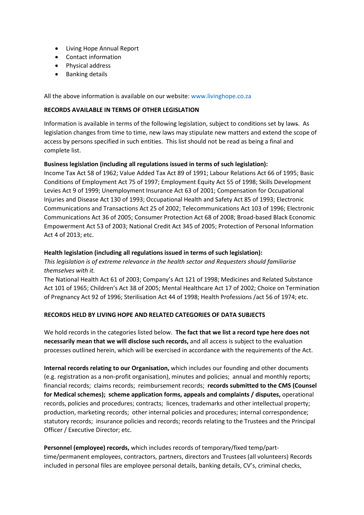- Living Hope Annual Report
- Contact information
- Physical address
- Banking details

All the above information is available on our website[: www.livinghope.co.za](http://www.livinghope.co.za/)

## **RECORDS AVAILABLE IN TERMS OF OTHER LEGISLATION**

Information is available in terms of the following legislation, subject to conditions set by laws. As legislation changes from time to time, new laws may stipulate new matters and extend the scope of access by persons specified in such entities. This list should not be read as being a final and complete list.

## **Business legislation (including all regulations issued in terms of such legislation):**

Income Tax Act 58 of 1962; Value Added Tax Act 89 of 1991; Labour Relations Act 66 of 1995; Basic Conditions of Employment Act 75 of 1997; Employment Equity Act 55 of 1998; Skills Development Levies Act 9 of 1999; Unemployment Insurance Act 63 of 2001; Compensation for Occupational Injuries and Disease Act 130 of 1993; Occupational Health and Safety Act 85 of 1993; Electronic Communications and Transactions Act 25 of 2002; Telecommunications Act 103 of 1996; Electronic Communications Act 36 of 2005; Consumer Protection Act 68 of 2008; Broad-based Black Economic Empowerment Act 53 of 2003; National Credit Act 345 of 2005; Protection of Personal Information Act 4 of 2013; etc.

### **Health legislation (including all regulations issued in terms of such legislation):**

*This legislation is of extreme relevance in the health sector and Requesters should familiarise themselves with it.*

The National Health Act 61 of 2003; Company's Act 121 of 1998; Medicines and Related Substance Act 101 of 1965; Children's Act 38 of 2005; Mental Healthcare Act 17 of 2002; Choice on Termination of Pregnancy Act 92 of 1996; Sterilisation Act 44 of 1998; Health Professions /act 56 of 1974; etc.

### **RECORDS HELD BY LIVING HOPE AND RELATED CATEGORIES OF DATA SUBJECTS**

We hold records in the categories listed below. **The fact that we list a record type here does not necessarily mean that we will disclose such records,** and all access is subject to the evaluation processes outlined herein, which will be exercised in accordance with the requirements of the Act.

**Internal records relating to our Organisation,** which includes our founding and other documents (e.g. registration as a non-profit organisation), minutes and policies; annual and monthly reports; financial records; claims records; reimbursement records; **records submitted to the CMS (Counsel for Medical schemes); scheme application forms, appeals and complaints / disputes,** operational records, policies and procedures; contracts; licences, trademarks and other intellectual property; production, marketing records; other internal policies and procedures; internal correspondence; statutory records; insurance policies and records; records relating to the Trustees and the Principal Officer / Executive Director; etc.

**Personnel (employee) records,** which includes records of temporary/fixed temp/parttime/permanent employees, contractors, partners, directors and Trustees (all volunteers) Records included in personal files are employee personal details, banking details, CV's, criminal checks,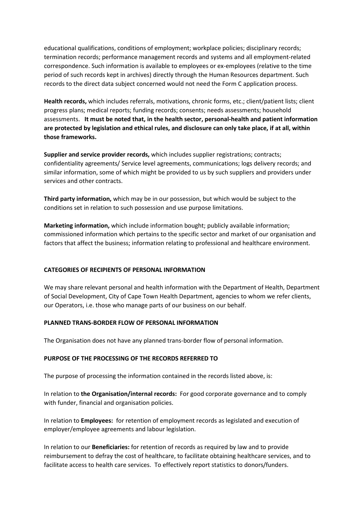educational qualifications, conditions of employment; workplace policies; disciplinary records; termination records; performance management records and systems and all employment-related correspondence. Such information is available to employees or ex-employees (relative to the time period of such records kept in archives) directly through the Human Resources department. Such records to the direct data subject concerned would not need the Form C application process.

**Health records,** which includes referrals, motivations, chronic forms, etc.; client/patient lists; client progress plans; medical reports; funding records; consents; needs assessments; household assessments. **It must be noted that, in the health sector, personal-health and patient information are protected by legislation and ethical rules, and disclosure can only take place, if at all, within those frameworks.**

**Supplier and service provider records,** which includes supplier registrations; contracts; confidentiality agreements/ Service level agreements, communications; logs delivery records; and similar information, some of which might be provided to us by such suppliers and providers under services and other contracts.

**Third party information,** which may be in our possession, but which would be subject to the conditions set in relation to such possession and use purpose limitations.

**Marketing information,** which include information bought; publicly available information; commissioned information which pertains to the specific sector and market of our organisation and factors that affect the business; information relating to professional and healthcare environment.

# **CATEGORIES OF RECIPIENTS OF PERSONAL INFORMATION**

We may share relevant personal and health information with the Department of Health, Department of Social Development, City of Cape Town Health Department, agencies to whom we refer clients, our Operators, i.e. those who manage parts of our business on our behalf.

### **PLANNED TRANS-BORDER FLOW OF PERSONAL INFORMATION**

The Organisation does not have any planned trans-border flow of personal information.

### **PURPOSE OF THE PROCESSING OF THE RECORDS REFERRED TO**

The purpose of processing the information contained in the records listed above, is:

In relation to **the Organisation/internal records:** For good corporate governance and to comply with funder, financial and organisation policies.

In relation to **Employees:** for retention of employment records as legislated and execution of employer/employee agreements and labour legislation.

In relation to our **Beneficiaries:** for retention of records as required by law and to provide reimbursement to defray the cost of healthcare, to facilitate obtaining healthcare services, and to facilitate access to health care services. To effectively report statistics to donors/funders.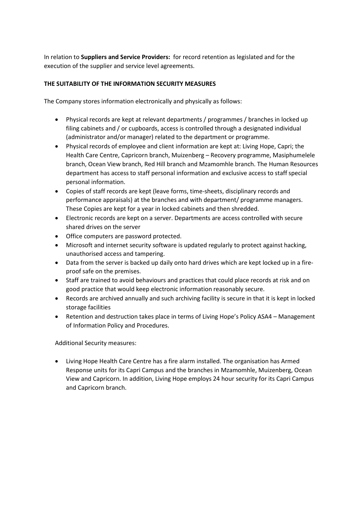In relation to **Suppliers and Service Providers:** for record retention as legislated and for the execution of the supplier and service level agreements.

# **THE SUITABILITY OF THE INFORMATION SECURITY MEASURES**

The Company stores information electronically and physically as follows:

- Physical records are kept at relevant departments / programmes / branches in locked up filing cabinets and / or cupboards, access is controlled through a designated individual (administrator and/or manager) related to the department or programme.
- Physical records of employee and client information are kept at: Living Hope, Capri; the Health Care Centre, Capricorn branch, Muizenberg – Recovery programme, Masiphumelele branch, Ocean View branch, Red Hill branch and Mzamomhle branch. The Human Resources department has access to staff personal information and exclusive access to staff special personal information.
- Copies of staff records are kept (leave forms, time-sheets, disciplinary records and performance appraisals) at the branches and with department/ programme managers. These Copies are kept for a year in locked cabinets and then shredded.
- Electronic records are kept on a server. Departments are access controlled with secure shared drives on the server
- Office computers are password protected.
- Microsoft and internet security software is updated regularly to protect against hacking, unauthorised access and tampering.
- Data from the server is backed up daily onto hard drives which are kept locked up in a fireproof safe on the premises.
- Staff are trained to avoid behaviours and practices that could place records at risk and on good practice that would keep electronic information reasonably secure.
- Records are archived annually and such archiving facility is secure in that it is kept in locked storage facilities
- Retention and destruction takes place in terms of Living Hope's Policy ASA4 Management of Information Policy and Procedures.

Additional Security measures:

• Living Hope Health Care Centre has a fire alarm installed. The organisation has Armed Response units for its Capri Campus and the branches in Mzamomhle, Muizenberg, Ocean View and Capricorn. In addition, Living Hope employs 24 hour security for its Capri Campus and Capricorn branch.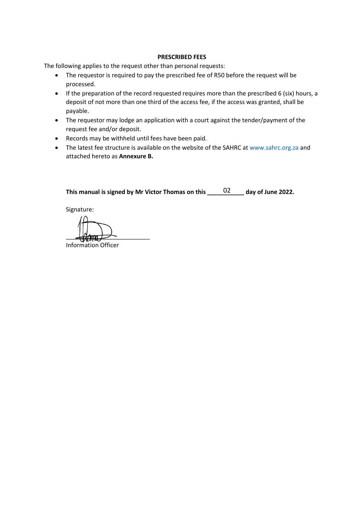#### **PRESCRIBED FEES**

The following applies to the request other than personal requests:

- The requestor is required to pay the prescribed fee of R50 before the request will be processed.
- If the preparation of the record requested requires more than the prescribed 6 (six) hours, a deposit of not more than one third of the access fee, if the access was granted, shall be payable.
- The requestor may lodge an application with a court against the tender/payment of the request fee and/or deposit.
- Records may be withheld until fees have been paid.
- The latest fee structure is available on the website of the SAHRC a[t www.sahrc.org.za](http://www.sahrc.org.za/) and attached hereto as **Annexure B.**

**This manual is signed by Mr Victor Thomas on this \_\_\_\_\_\_\_\_\_\_\_ day of June 2022.** 02

Signature:

\_\_\_\_\_\_\_\_\_\_\_\_\_\_\_\_\_\_\_\_\_\_\_\_\_

Information Officer